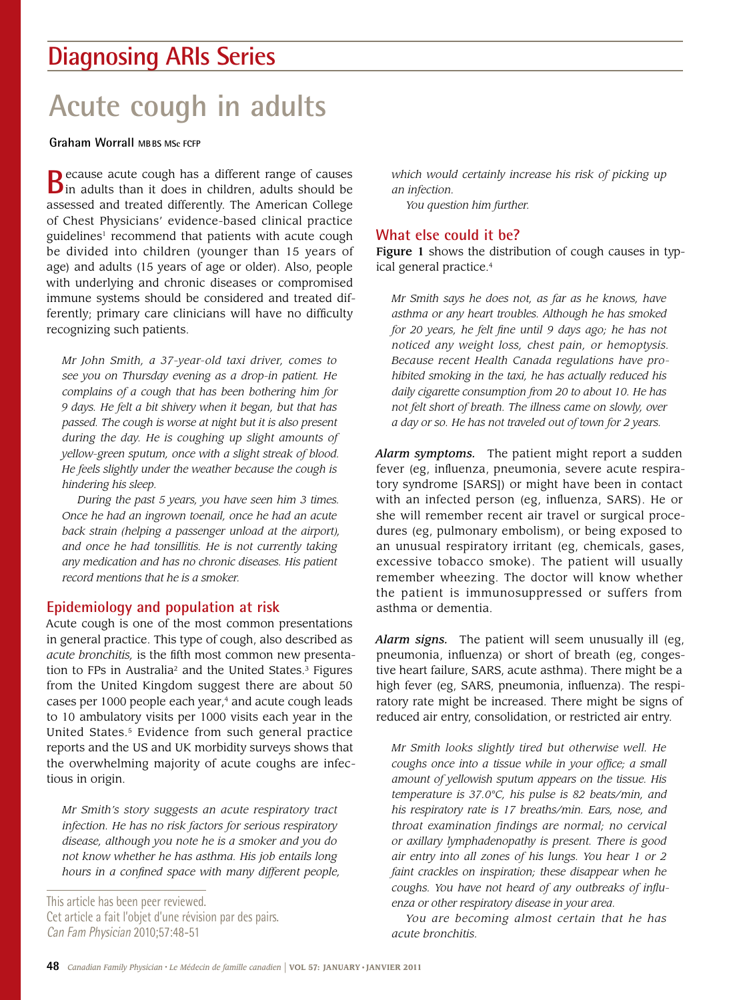# **Diagnosing ARIs Series**

# **Acute cough in adults**

**Graham Worrall MBBS MSc FCFP**

**B**ecause acute cough has a different range of causes **B** in adults than it does in children, adults should be assessed and treated differently. The American College of Chest Physicians' evidence-based clinical practice guidelines<sup>1</sup> recommend that patients with acute cough be divided into children (younger than 15 years of age) and adults (15 years of age or older). Also, people with underlying and chronic diseases or compromised immune systems should be considered and treated differently; primary care clinicians will have no difficulty recognizing such patients.

*Mr John Smith, a 37-year-old taxi driver, comes to see you on Thursday evening as a drop-in patient. He complains of a cough that has been bothering him for 9 days. He felt a bit shivery when it began, but that has passed. The cough is worse at night but it is also present during the day. He is coughing up slight amounts of yellow-green sputum, once with a slight streak of blood. He feels slightly under the weather because the cough is hindering his sleep.*

*During the past 5 years, you have seen him 3 times. Once he had an ingrown toenail, once he had an acute back strain (helping a passenger unload at the airport), and once he had tonsillitis. He is not currently taking any medication and has no chronic diseases. His patient record mentions that he is a smoker.*

### **Epidemiology and population at risk**

Acute cough is one of the most common presentations in general practice. This type of cough, also described as *acute bronchitis,* is the fifth most common new presentation to FPs in Australia<sup>2</sup> and the United States.<sup>3</sup> Figures from the United Kingdom suggest there are about 50 cases per 1000 people each year,<sup>4</sup> and acute cough leads to 10 ambulatory visits per 1000 visits each year in the United States.<sup>5</sup> Evidence from such general practice reports and the US and UK morbidity surveys shows that the overwhelming majority of acute coughs are infectious in origin.

*Mr Smith's story suggests an acute respiratory tract infection. He has no risk factors for serious respiratory disease, although you note he is a smoker and you do not know whether he has asthma. His job entails long hours in a confined space with many different people,* 

This article has been peer reviewed. Cet article a fait l'objet d'une révision par des pairs. Can Fam Physician 2010;57:48-51

*which would certainly increase his risk of picking up an infection.*

*You question him further.*

## **What else could it be?**

Figure 1 shows the distribution of cough causes in typical general practice.<sup>4</sup>

*Mr Smith says he does not, as far as he knows, have asthma or any heart troubles. Although he has smoked for 20 years, he felt fine until 9 days ago; he has not noticed any weight loss, chest pain, or hemoptysis. Because recent Health Canada regulations have prohibited smoking in the taxi, he has actually reduced his daily cigarette consumption from 20 to about 10. He has not felt short of breath. The illness came on slowly, over a day or so. He has not traveled out of town for 2 years.*

*Alarm symptoms.* The patient might report a sudden fever (eg, influenza, pneumonia, severe acute respiratory syndrome [SARS]) or might have been in contact with an infected person (eg, influenza, SARS). He or she will remember recent air travel or surgical procedures (eg, pulmonary embolism), or being exposed to an unusual respiratory irritant (eg, chemicals, gases, excessive tobacco smoke). The patient will usually remember wheezing. The doctor will know whether the patient is immunosuppressed or suffers from asthma or dementia.

*Alarm signs.* The patient will seem unusually ill (eg, pneumonia, influenza) or short of breath (eg, congestive heart failure, SARS, acute asthma). There might be a high fever (eg, SARS, pneumonia, influenza). The respiratory rate might be increased. There might be signs of reduced air entry, consolidation, or restricted air entry.

*Mr Smith looks slightly tired but otherwise well. He coughs once into a tissue while in your office; a small amount of yellowish sputum appears on the tissue. His temperature is 37.0°C, his pulse is 82 beats/min, and his respiratory rate is 17 breaths/min. Ears, nose, and throat examination findings are normal; no cervical or axillary lymphadenopathy is present. There is good air entry into all zones of his lungs. You hear 1 or 2 faint crackles on inspiration; these disappear when he coughs. You have not heard of any outbreaks of influenza or other respiratory disease in your area.*

*You are becoming almost certain that he has acute bronchitis.*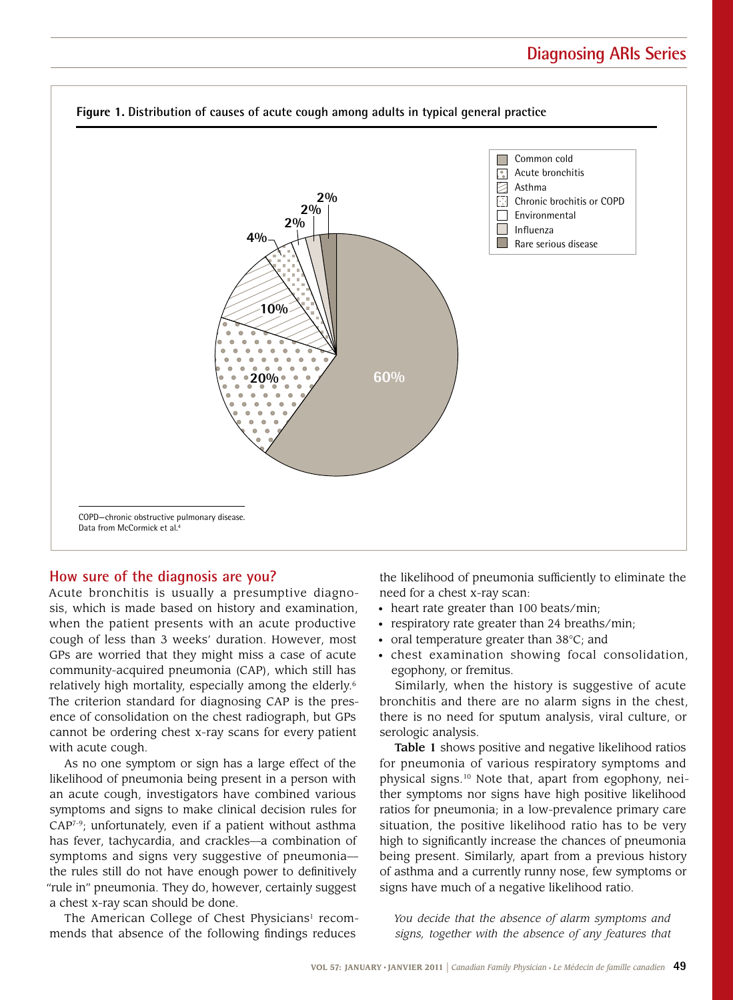

#### **How sure of the diagnosis are you?**

Acute bronchitis is usually a presumptive diagnosis, which is made based on history and examination, when the patient presents with an acute productive cough of less than 3 weeks' duration. However, most GPs are worried that they might miss a case of acute community-acquired pneumonia (CAP), which still has relatively high mortality, especially among the elderly.6 The criterion standard for diagnosing CAP is the presence of consolidation on the chest radiograph, but GPs cannot be ordering chest x-ray scans for every patient with acute cough.

As no one symptom or sign has a large effect of the likelihood of pneumonia being present in a person with an acute cough, investigators have combined various symptoms and signs to make clinical decision rules for CAP7-9; unfortunately, even if a patient without asthma has fever, tachycardia, and crackles—a combination of symptoms and signs very suggestive of pneumonia the rules still do not have enough power to definitively "rule in" pneumonia. They do, however, certainly suggest a chest x-ray scan should be done.

The American College of Chest Physicians<sup>1</sup> recommends that absence of the following findings reduces

the likelihood of pneumonia sufficiently to eliminate the need for a chest x-ray scan:

- heart rate greater than 100 beats/min;
- respiratory rate greater than 24 breaths/min;
- oral temperature greater than 38°C; and
- chest examination showing focal consolidation, egophony, or fremitus.

Similarly, when the history is suggestive of acute bronchitis and there are no alarm signs in the chest, there is no need for sputum analysis, viral culture, or serologic analysis.

Table 1 shows positive and negative likelihood ratios for pneumonia of various respiratory symptoms and physical signs.10 Note that, apart from egophony, neither symptoms nor signs have high positive likelihood ratios for pneumonia; in a low-prevalence primary care situation, the positive likelihood ratio has to be very high to significantly increase the chances of pneumonia being present. Similarly, apart from a previous history of asthma and a currently runny nose, few symptoms or signs have much of a negative likelihood ratio.

*You decide that the absence of alarm symptoms and signs, together with the absence of any features that*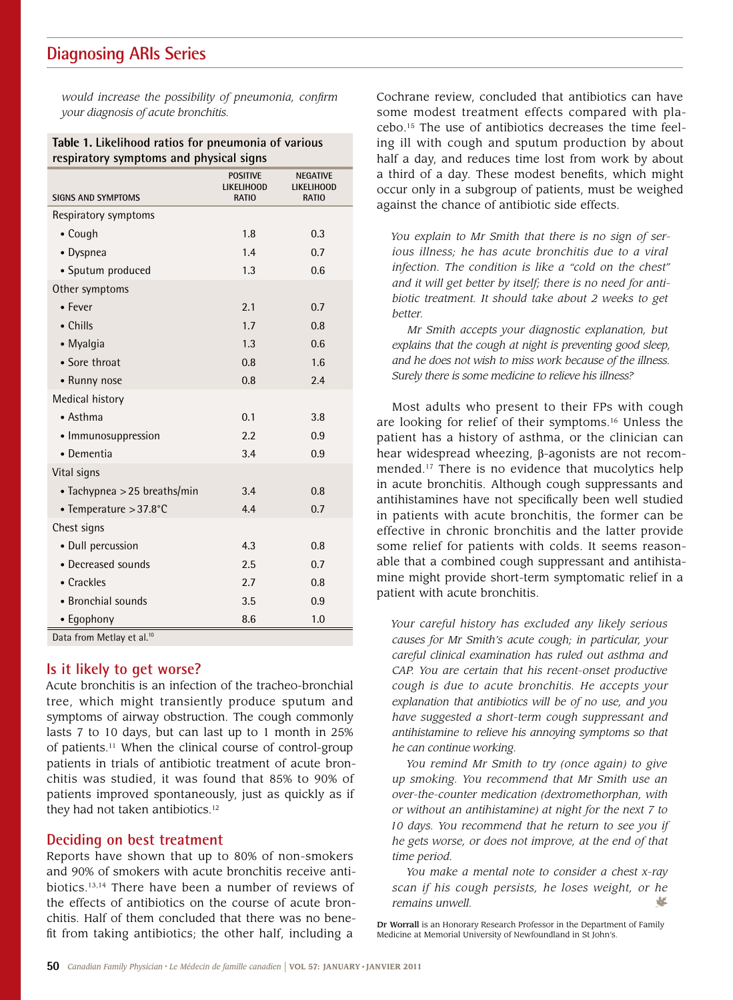## **Diagnosing ARIs Series**

*would increase the possibility of pneumonia, confirm your diagnosis of acute bronchitis.*

| Table 1. Likelihood ratios for pneumonia of various |  |
|-----------------------------------------------------|--|
| respiratory symptoms and physical signs             |  |

|                                | <b>POSITIVE</b><br>LIKELIHOOD | <b>NEGATIVE</b><br>LIKELIHOOD |
|--------------------------------|-------------------------------|-------------------------------|
| <b>SIGNS AND SYMPTOMS</b>      | <b>RATIO</b>                  | <b>RATIO</b>                  |
| Respiratory symptoms           |                               |                               |
| • Cough                        | 1.8                           | 0.3                           |
| • Dyspnea                      | 1.4                           | 0.7                           |
| • Sputum produced              | 1.3                           | 0.6                           |
| Other symptoms                 |                               |                               |
| • Fever                        | 2.1                           | 0.7                           |
| $\bullet$ Chills               | 1.7                           | 0.8                           |
| • Myalgia                      | 1.3                           | 0.6                           |
| • Sore throat                  | 0.8                           | 1.6                           |
| • Runny nose                   | 0.8                           | 2.4                           |
| Medical history                |                               |                               |
| • Asthma                       | 0.1                           | 3.8                           |
| • Immunosuppression            | 2.2                           | 0.9                           |
| • Dementia                     | 3.4                           | 0.9                           |
| Vital signs                    |                               |                               |
| • Tachypnea $>$ 25 breaths/min | 3.4                           | 0.8                           |
| • Temperature > 37.8°C         | 4.4                           | 0.7                           |
| Chest signs                    |                               |                               |
| • Dull percussion              | 4.3                           | 0.8                           |
| • Decreased sounds             | 2.5                           | 0.7                           |
| • Crackles                     | 2.7                           | 0.8                           |
| • Bronchial sounds             | 3.5                           | 0.9                           |
| • Egophony                     | 8.6                           | 1.0                           |
| Data from Metlay et al 10      |                               |                               |

Data from Metlay et al.<sup>10</sup>

#### **Is it likely to get worse?**

Acute bronchitis is an infection of the tracheo-bronchial tree, which might transiently produce sputum and symptoms of airway obstruction. The cough commonly lasts 7 to 10 days, but can last up to 1 month in 25% of patients.11 When the clinical course of control-group patients in trials of antibiotic treatment of acute bronchitis was studied, it was found that 85% to 90% of patients improved spontaneously, just as quickly as if they had not taken antibiotics.<sup>12</sup>

### **Deciding on best treatment**

Reports have shown that up to 80% of non-smokers and 90% of smokers with acute bronchitis receive antibiotics.13,14 There have been a number of reviews of the effects of antibiotics on the course of acute bronchitis. Half of them concluded that there was no benefit from taking antibiotics; the other half, including a

Cochrane review, concluded that antibiotics can have some modest treatment effects compared with placebo.15 The use of antibiotics decreases the time feeling ill with cough and sputum production by about half a day, and reduces time lost from work by about a third of a day. These modest benefits, which might occur only in a subgroup of patients, must be weighed against the chance of antibiotic side effects.

*You explain to Mr Smith that there is no sign of serious illness; he has acute bronchitis due to a viral infection. The condition is like a "cold on the chest" and it will get better by itself; there is no need for antibiotic treatment. It should take about 2 weeks to get better.*

*Mr Smith accepts your diagnostic explanation, but explains that the cough at night is preventing good sleep, and he does not wish to miss work because of the illness. Surely there is some medicine to relieve his illness?*

Most adults who present to their FPs with cough are looking for relief of their symptoms.16 Unless the patient has a history of asthma, or the clinician can hear widespread wheezing,  $\beta$ -agonists are not recommended.17 There is no evidence that mucolytics help in acute bronchitis. Although cough suppressants and antihistamines have not specifically been well studied in patients with acute bronchitis, the former can be effective in chronic bronchitis and the latter provide some relief for patients with colds. It seems reasonable that a combined cough suppressant and antihistamine might provide short-term symptomatic relief in a patient with acute bronchitis.

*Your careful history has excluded any likely serious causes for Mr Smith's acute cough; in particular, your careful clinical examination has ruled out asthma and CAP. You are certain that his recent-onset productive cough is due to acute bronchitis. He accepts your explanation that antibiotics will be of no use, and you have suggested a short-term cough suppressant and antihistamine to relieve his annoying symptoms so that he can continue working.*

*You remind Mr Smith to try (once again) to give up smoking. You recommend that Mr Smith use an over-the-counter medication (dextromethorphan, with or without an antihistamine) at night for the next 7 to 10 days. You recommend that he return to see you if he gets worse, or does not improve, at the end of that time period.*

*You make a mental note to consider a chest x-ray scan if his cough persists, he loses weight, or he remains unwell.*

Dr Worrall is an Honorary Research Professor in the Department of Family Medicine at Memorial University of Newfoundland in St John's.